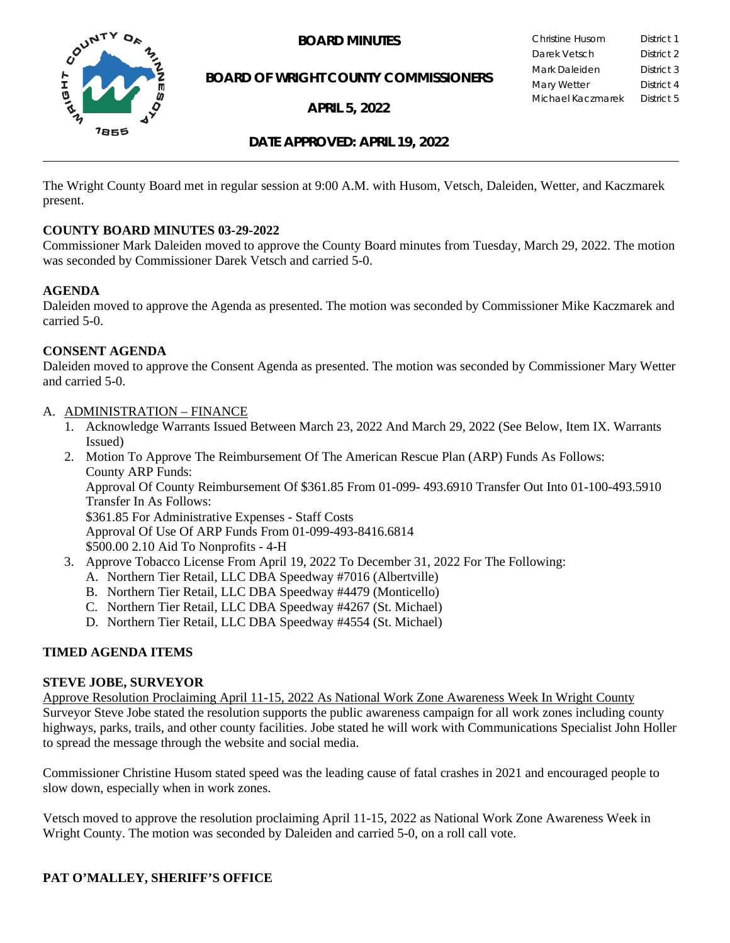

**BOARD MINUTES** 

**BOARD OF WRIGHT COUNTY COMMISSIONERS**

**APRIL 5, 2022**

| Christine Husom   | District 1 |
|-------------------|------------|
| Darek Vetsch      | District 2 |
| Mark Daleiden     | District 3 |
| Mary Wetter       | District 4 |
| Michael Kaczmarek | District 5 |
|                   |            |

## **DATE APPROVED: APRIL 19, 2022**

The Wright County Board met in regular session at 9:00 A.M. with Husom, Vetsch, Daleiden, Wetter, and Kaczmarek present.

#### **COUNTY BOARD MINUTES 03-29-2022**

Commissioner Mark Daleiden moved to approve the County Board minutes from Tuesday, March 29, 2022. The motion was seconded by Commissioner Darek Vetsch and carried 5-0.

#### **AGENDA**

Daleiden moved to approve the Agenda as presented. The motion was seconded by Commissioner Mike Kaczmarek and carried 5-0.

### **CONSENT AGENDA**

Daleiden moved to approve the Consent Agenda as presented. The motion was seconded by Commissioner Mary Wetter and carried 5-0.

- A. ADMINISTRATION FINANCE
	- 1. Acknowledge Warrants Issued Between March 23, 2022 And March 29, 2022 (See Below, Item IX. Warrants Issued)
	- 2. Motion To Approve The Reimbursement Of The American Rescue Plan (ARP) Funds As Follows: County ARP Funds: Approval Of County Reimbursement Of \$361.85 From 01-099- 493.6910 Transfer Out Into 01-100-493.5910 Transfer In As Follows: \$361.85 For Administrative Expenses - Staff Costs Approval Of Use Of ARP Funds From 01-099-493-8416.6814 \$500.00 2.10 Aid To Nonprofits - 4-H
	- 3. Approve Tobacco License From April 19, 2022 To December 31, 2022 For The Following:
		- A. Northern Tier Retail, LLC DBA Speedway #7016 (Albertville)
		- B. Northern Tier Retail, LLC DBA Speedway #4479 (Monticello)
		- C. Northern Tier Retail, LLC DBA Speedway #4267 (St. Michael)
		- D. Northern Tier Retail, LLC DBA Speedway #4554 (St. Michael)

## **TIMED AGENDA ITEMS**

#### **STEVE JOBE, SURVEYOR**

Approve Resolution Proclaiming April 11-15, 2022 As National Work Zone Awareness Week In Wright County Surveyor Steve Jobe stated the resolution supports the public awareness campaign for all work zones including county highways, parks, trails, and other county facilities. Jobe stated he will work with Communications Specialist John Holler to spread the message through the website and social media.

Commissioner Christine Husom stated speed was the leading cause of fatal crashes in 2021 and encouraged people to slow down, especially when in work zones.

Vetsch moved to approve the resolution proclaiming April 11-15, 2022 as National Work Zone Awareness Week in Wright County. The motion was seconded by Daleiden and carried 5-0, on a roll call vote.

# **PAT O'MALLEY, SHERIFF'S OFFICE**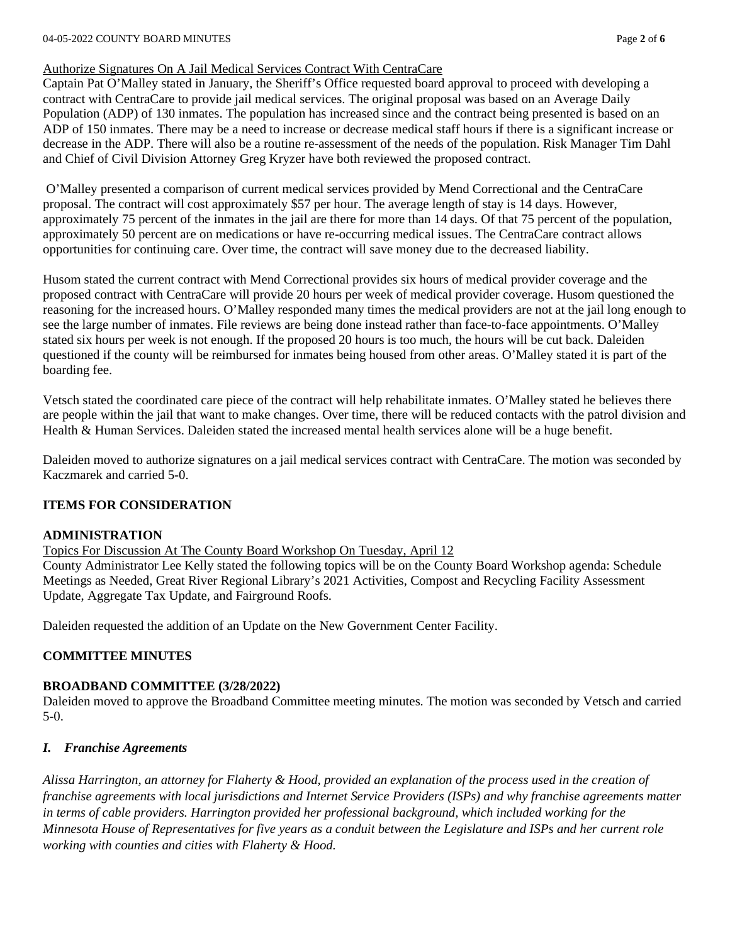### Authorize Signatures On A Jail Medical Services Contract With CentraCare

Captain Pat O'Malley stated in January, the Sheriff's Office requested board approval to proceed with developing a contract with CentraCare to provide jail medical services. The original proposal was based on an Average Daily Population (ADP) of 130 inmates. The population has increased since and the contract being presented is based on an ADP of 150 inmates. There may be a need to increase or decrease medical staff hours if there is a significant increase or decrease in the ADP. There will also be a routine re-assessment of the needs of the population. Risk Manager Tim Dahl and Chief of Civil Division Attorney Greg Kryzer have both reviewed the proposed contract.

O'Malley presented a comparison of current medical services provided by Mend Correctional and the CentraCare proposal. The contract will cost approximately \$57 per hour. The average length of stay is 14 days. However, approximately 75 percent of the inmates in the jail are there for more than 14 days. Of that 75 percent of the population, approximately 50 percent are on medications or have re-occurring medical issues. The CentraCare contract allows opportunities for continuing care. Over time, the contract will save money due to the decreased liability.

Husom stated the current contract with Mend Correctional provides six hours of medical provider coverage and the proposed contract with CentraCare will provide 20 hours per week of medical provider coverage. Husom questioned the reasoning for the increased hours. O'Malley responded many times the medical providers are not at the jail long enough to see the large number of inmates. File reviews are being done instead rather than face-to-face appointments. O'Malley stated six hours per week is not enough. If the proposed 20 hours is too much, the hours will be cut back. Daleiden questioned if the county will be reimbursed for inmates being housed from other areas. O'Malley stated it is part of the boarding fee.

Vetsch stated the coordinated care piece of the contract will help rehabilitate inmates. O'Malley stated he believes there are people within the jail that want to make changes. Over time, there will be reduced contacts with the patrol division and Health & Human Services. Daleiden stated the increased mental health services alone will be a huge benefit.

Daleiden moved to authorize signatures on a jail medical services contract with CentraCare. The motion was seconded by Kaczmarek and carried 5-0.

## **ITEMS FOR CONSIDERATION**

## **ADMINISTRATION**

Topics For Discussion At The County Board Workshop On Tuesday, April 12

County Administrator Lee Kelly stated the following topics will be on the County Board Workshop agenda: Schedule Meetings as Needed, Great River Regional Library's 2021 Activities, Compost and Recycling Facility Assessment Update, Aggregate Tax Update, and Fairground Roofs.

Daleiden requested the addition of an Update on the New Government Center Facility.

## **COMMITTEE MINUTES**

## **BROADBAND COMMITTEE (3/28/2022)**

Daleiden moved to approve the Broadband Committee meeting minutes. The motion was seconded by Vetsch and carried 5-0.

## *I. Franchise Agreements*

*Alissa Harrington, an attorney for Flaherty & Hood, provided an explanation of the process used in the creation of franchise agreements with local jurisdictions and Internet Service Providers (ISPs) and why franchise agreements matter in terms of cable providers. Harrington provided her professional background, which included working for the Minnesota House of Representatives for five years as a conduit between the Legislature and ISPs and her current role working with counties and cities with Flaherty & Hood.*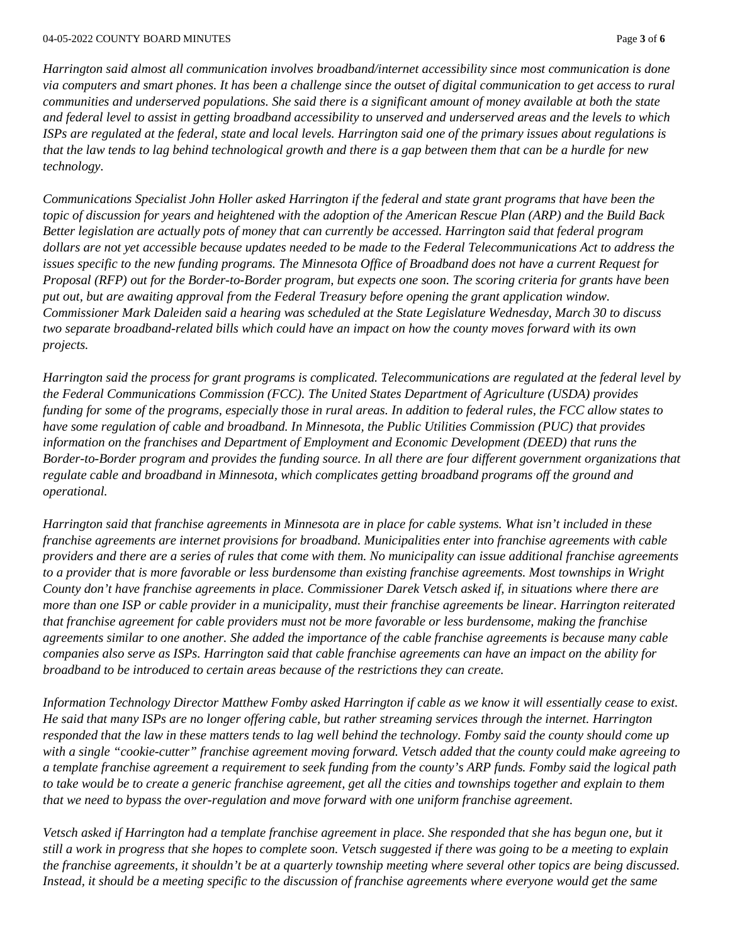*Harrington said almost all communication involves broadband/internet accessibility since most communication is done via computers and smart phones. It has been a challenge since the outset of digital communication to get access to rural communities and underserved populations. She said there is a significant amount of money available at both the state and federal level to assist in getting broadband accessibility to unserved and underserved areas and the levels to which ISPs are regulated at the federal, state and local levels. Harrington said one of the primary issues about regulations is that the law tends to lag behind technological growth and there is a gap between them that can be a hurdle for new technology.*

*Communications Specialist John Holler asked Harrington if the federal and state grant programs that have been the topic of discussion for years and heightened with the adoption of the American Rescue Plan (ARP) and the Build Back Better legislation are actually pots of money that can currently be accessed. Harrington said that federal program dollars are not yet accessible because updates needed to be made to the Federal Telecommunications Act to address the issues specific to the new funding programs. The Minnesota Office of Broadband does not have a current Request for Proposal (RFP) out for the Border-to-Border program, but expects one soon. The scoring criteria for grants have been put out, but are awaiting approval from the Federal Treasury before opening the grant application window. Commissioner Mark Daleiden said a hearing was scheduled at the State Legislature Wednesday, March 30 to discuss two separate broadband-related bills which could have an impact on how the county moves forward with its own projects.*

*Harrington said the process for grant programs is complicated. Telecommunications are regulated at the federal level by the Federal Communications Commission (FCC). The United States Department of Agriculture (USDA) provides funding for some of the programs, especially those in rural areas. In addition to federal rules, the FCC allow states to have some regulation of cable and broadband. In Minnesota, the Public Utilities Commission (PUC) that provides information on the franchises and Department of Employment and Economic Development (DEED) that runs the Border-to-Border program and provides the funding source. In all there are four different government organizations that regulate cable and broadband in Minnesota, which complicates getting broadband programs off the ground and operational.*

*Harrington said that franchise agreements in Minnesota are in place for cable systems. What isn't included in these franchise agreements are internet provisions for broadband. Municipalities enter into franchise agreements with cable providers and there are a series of rules that come with them. No municipality can issue additional franchise agreements to a provider that is more favorable or less burdensome than existing franchise agreements. Most townships in Wright County don't have franchise agreements in place. Commissioner Darek Vetsch asked if, in situations where there are more than one ISP or cable provider in a municipality, must their franchise agreements be linear. Harrington reiterated that franchise agreement for cable providers must not be more favorable or less burdensome, making the franchise agreements similar to one another. She added the importance of the cable franchise agreements is because many cable companies also serve as ISPs. Harrington said that cable franchise agreements can have an impact on the ability for broadband to be introduced to certain areas because of the restrictions they can create.*

*Information Technology Director Matthew Fomby asked Harrington if cable as we know it will essentially cease to exist. He said that many ISPs are no longer offering cable, but rather streaming services through the internet. Harrington responded that the law in these matters tends to lag well behind the technology. Fomby said the county should come up with a single "cookie-cutter" franchise agreement moving forward. Vetsch added that the county could make agreeing to a template franchise agreement a requirement to seek funding from the county's ARP funds. Fomby said the logical path to take would be to create a generic franchise agreement, get all the cities and townships together and explain to them that we need to bypass the over-regulation and move forward with one uniform franchise agreement.*

*Vetsch asked if Harrington had a template franchise agreement in place. She responded that she has begun one, but it still a work in progress that she hopes to complete soon. Vetsch suggested if there was going to be a meeting to explain the franchise agreements, it shouldn't be at a quarterly township meeting where several other topics are being discussed.*  Instead, it should be a meeting specific to the discussion of franchise agreements where everyone would get the same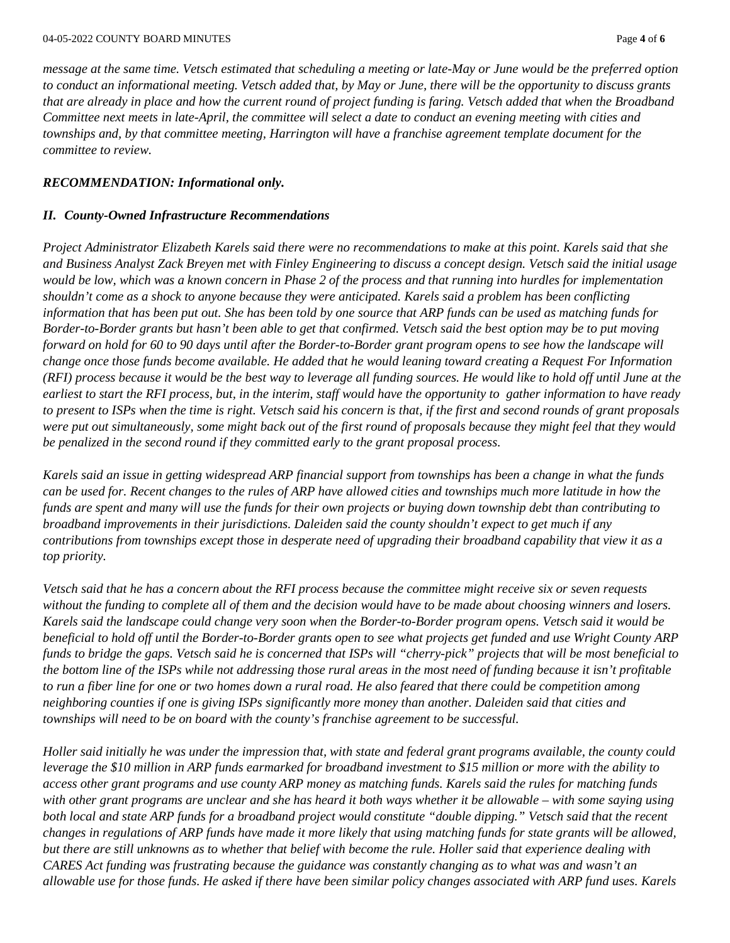*message at the same time. Vetsch estimated that scheduling a meeting or late-May or June would be the preferred option to conduct an informational meeting. Vetsch added that, by May or June, there will be the opportunity to discuss grants that are already in place and how the current round of project funding is faring. Vetsch added that when the Broadband Committee next meets in late-April, the committee will select a date to conduct an evening meeting with cities and townships and, by that committee meeting, Harrington will have a franchise agreement template document for the committee to review.* 

#### *RECOMMENDATION: Informational only.*

#### *II. County-Owned Infrastructure Recommendations*

*Project Administrator Elizabeth Karels said there were no recommendations to make at this point. Karels said that she and Business Analyst Zack Breyen met with Finley Engineering to discuss a concept design. Vetsch said the initial usage would be low, which was a known concern in Phase 2 of the process and that running into hurdles for implementation shouldn't come as a shock to anyone because they were anticipated. Karels said a problem has been conflicting information that has been put out. She has been told by one source that ARP funds can be used as matching funds for Border-to-Border grants but hasn't been able to get that confirmed. Vetsch said the best option may be to put moving forward on hold for 60 to 90 days until after the Border-to-Border grant program opens to see how the landscape will change once those funds become available. He added that he would leaning toward creating a Request For Information (RFI) process because it would be the best way to leverage all funding sources. He would like to hold off until June at the earliest to start the RFI process, but, in the interim, staff would have the opportunity to gather information to have ready to present to ISPs when the time is right. Vetsch said his concern is that, if the first and second rounds of grant proposals were put out simultaneously, some might back out of the first round of proposals because they might feel that they would be penalized in the second round if they committed early to the grant proposal process.*

*Karels said an issue in getting widespread ARP financial support from townships has been a change in what the funds can be used for. Recent changes to the rules of ARP have allowed cities and townships much more latitude in how the funds are spent and many will use the funds for their own projects or buying down township debt than contributing to broadband improvements in their jurisdictions. Daleiden said the county shouldn't expect to get much if any contributions from townships except those in desperate need of upgrading their broadband capability that view it as a top priority.*

*Vetsch said that he has a concern about the RFI process because the committee might receive six or seven requests without the funding to complete all of them and the decision would have to be made about choosing winners and losers. Karels said the landscape could change very soon when the Border-to-Border program opens. Vetsch said it would be beneficial to hold off until the Border-to-Border grants open to see what projects get funded and use Wright County ARP funds to bridge the gaps. Vetsch said he is concerned that ISPs will "cherry-pick" projects that will be most beneficial to the bottom line of the ISPs while not addressing those rural areas in the most need of funding because it isn't profitable to run a fiber line for one or two homes down a rural road. He also feared that there could be competition among neighboring counties if one is giving ISPs significantly more money than another. Daleiden said that cities and townships will need to be on board with the county's franchise agreement to be successful.*

*Holler said initially he was under the impression that, with state and federal grant programs available, the county could leverage the \$10 million in ARP funds earmarked for broadband investment to \$15 million or more with the ability to access other grant programs and use county ARP money as matching funds. Karels said the rules for matching funds with other grant programs are unclear and she has heard it both ways whether it be allowable – with some saying using both local and state ARP funds for a broadband project would constitute "double dipping." Vetsch said that the recent changes in regulations of ARP funds have made it more likely that using matching funds for state grants will be allowed, but there are still unknowns as to whether that belief with become the rule. Holler said that experience dealing with CARES Act funding was frustrating because the guidance was constantly changing as to what was and wasn't an allowable use for those funds. He asked if there have been similar policy changes associated with ARP fund uses. Karels*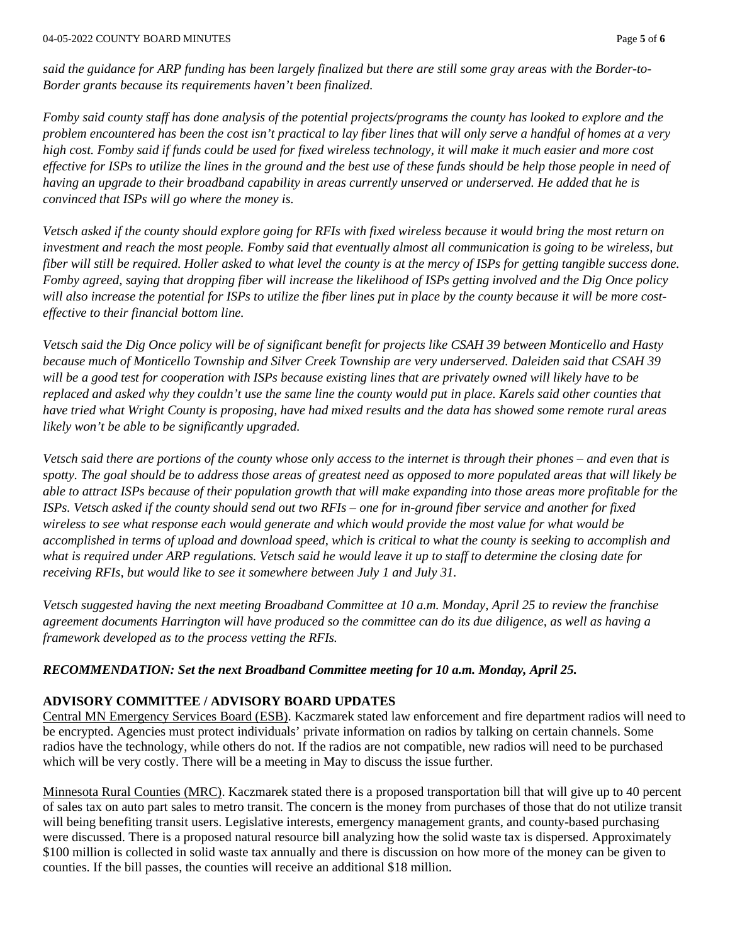*said the guidance for ARP funding has been largely finalized but there are still some gray areas with the Border-to-Border grants because its requirements haven't been finalized.*

*Fomby said county staff has done analysis of the potential projects/programs the county has looked to explore and the problem encountered has been the cost isn't practical to lay fiber lines that will only serve a handful of homes at a very high cost. Fomby said if funds could be used for fixed wireless technology, it will make it much easier and more cost effective for ISPs to utilize the lines in the ground and the best use of these funds should be help those people in need of having an upgrade to their broadband capability in areas currently unserved or underserved. He added that he is convinced that ISPs will go where the money is.*

*Vetsch asked if the county should explore going for RFIs with fixed wireless because it would bring the most return on investment and reach the most people. Fomby said that eventually almost all communication is going to be wireless, but fiber will still be required. Holler asked to what level the county is at the mercy of ISPs for getting tangible success done. Fomby agreed, saying that dropping fiber will increase the likelihood of ISPs getting involved and the Dig Once policy will also increase the potential for ISPs to utilize the fiber lines put in place by the county because it will be more costeffective to their financial bottom line.*

*Vetsch said the Dig Once policy will be of significant benefit for projects like CSAH 39 between Monticello and Hasty because much of Monticello Township and Silver Creek Township are very underserved. Daleiden said that CSAH 39 will be a good test for cooperation with ISPs because existing lines that are privately owned will likely have to be replaced and asked why they couldn't use the same line the county would put in place. Karels said other counties that have tried what Wright County is proposing, have had mixed results and the data has showed some remote rural areas likely won't be able to be significantly upgraded.*

*Vetsch said there are portions of the county whose only access to the internet is through their phones – and even that is spotty. The goal should be to address those areas of greatest need as opposed to more populated areas that will likely be able to attract ISPs because of their population growth that will make expanding into those areas more profitable for the ISPs. Vetsch asked if the county should send out two RFIs – one for in-ground fiber service and another for fixed wireless to see what response each would generate and which would provide the most value for what would be accomplished in terms of upload and download speed, which is critical to what the county is seeking to accomplish and what is required under ARP regulations. Vetsch said he would leave it up to staff to determine the closing date for receiving RFIs, but would like to see it somewhere between July 1 and July 31.*

*Vetsch suggested having the next meeting Broadband Committee at 10 a.m. Monday, April 25 to review the franchise agreement documents Harrington will have produced so the committee can do its due diligence, as well as having a framework developed as to the process vetting the RFIs.*

#### *RECOMMENDATION: Set the next Broadband Committee meeting for 10 a.m. Monday, April 25.*

#### **ADVISORY COMMITTEE / ADVISORY BOARD UPDATES**

Central MN Emergency Services Board (ESB). Kaczmarek stated law enforcement and fire department radios will need to be encrypted. Agencies must protect individuals' private information on radios by talking on certain channels. Some radios have the technology, while others do not. If the radios are not compatible, new radios will need to be purchased which will be very costly. There will be a meeting in May to discuss the issue further.

Minnesota Rural Counties (MRC). Kaczmarek stated there is a proposed transportation bill that will give up to 40 percent of sales tax on auto part sales to metro transit. The concern is the money from purchases of those that do not utilize transit will being benefiting transit users. Legislative interests, emergency management grants, and county-based purchasing were discussed. There is a proposed natural resource bill analyzing how the solid waste tax is dispersed. Approximately \$100 million is collected in solid waste tax annually and there is discussion on how more of the money can be given to counties. If the bill passes, the counties will receive an additional \$18 million.